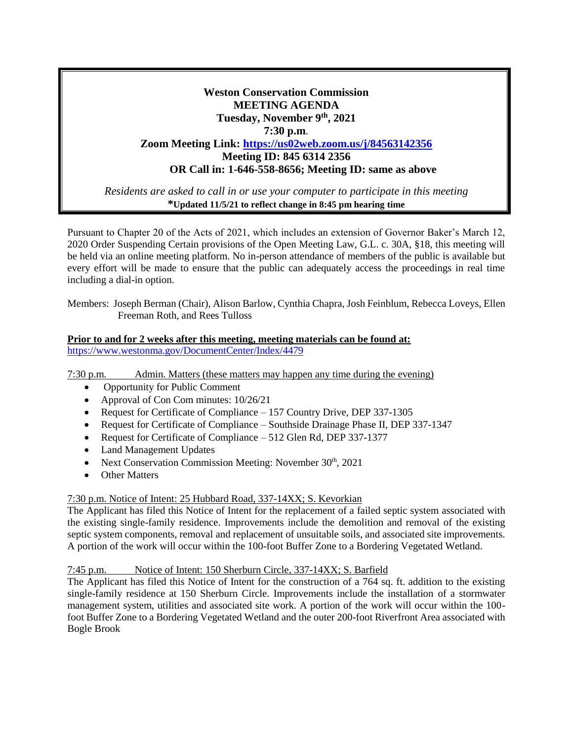# **Weston Conservation Commission MEETING AGENDA Tuesday, November 9th, 2021 7:30 p.m**. **Zoom Meeting Link: <https://us02web.zoom.us/j/84563142356> Meeting ID: 845 6314 2356 OR Call in: 1-646-558-8656; Meeting ID: same as above**

*Residents are asked to call in or use your computer to participate in this meeting* **\*Updated 11/5/21 to reflect change in 8:45 pm hearing time**

Pursuant to Chapter 20 of the Acts of 2021, which includes an extension of Governor Baker's March 12, 2020 Order Suspending Certain provisions of the Open Meeting Law, G.L. c. 30A, §18, this meeting will be held via an online meeting platform. No in-person attendance of members of the public is available but every effort will be made to ensure that the public can adequately access the proceedings in real time including a dial-in option.

Members: Joseph Berman (Chair), Alison Barlow, Cynthia Chapra, Josh Feinblum, Rebecca Loveys, Ellen Freeman Roth, and Rees Tulloss

#### **Prior to and for 2 weeks after this meeting, meeting materials can be found at:** <https://www.westonma.gov/DocumentCenter/Index/4479>

7:30 p.m. Admin. Matters (these matters may happen any time during the evening)

- Opportunity for Public Comment
- Approval of Con Com minutes:  $10/26/21$
- Request for Certificate of Compliance 157 Country Drive, DEP 337-1305
- Request for Certificate of Compliance Southside Drainage Phase II, DEP 337-1347
- Request for Certificate of Compliance 512 Glen Rd, DEP 337-1377
- Land Management Updates
- Next Conservation Commission Meeting: November  $30<sup>th</sup>$ , 2021
- **Other Matters**

# 7:30 p.m. Notice of Intent: 25 Hubbard Road, 337-14XX; S. Kevorkian

The Applicant has filed this Notice of Intent for the replacement of a failed septic system associated with the existing single-family residence. Improvements include the demolition and removal of the existing septic system components, removal and replacement of unsuitable soils, and associated site improvements. A portion of the work will occur within the 100-foot Buffer Zone to a Bordering Vegetated Wetland.

# 7:45 p.m. Notice of Intent: 150 Sherburn Circle, 337-14XX; S. Barfield

The Applicant has filed this Notice of Intent for the construction of a 764 sq. ft. addition to the existing single-family residence at 150 Sherburn Circle. Improvements include the installation of a stormwater management system, utilities and associated site work. A portion of the work will occur within the 100 foot Buffer Zone to a Bordering Vegetated Wetland and the outer 200-foot Riverfront Area associated with Bogle Brook